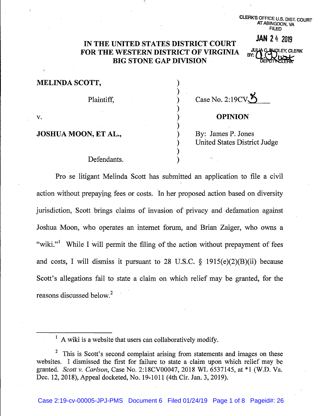CLERK'S OFFICE U.S. DIST. COURT AT ABINGDON, VA FILED

## IN THE UNITED STATES DISTRICT COURT FOR THE WESTERN DISTRICT OF VIRGINIA BIG STONE GAP DIVISION

**WOLEY, CLERK** DE

**JAN 2** 4 2019

| <b>MELINDA SCOTT,</b> |                                                           |
|-----------------------|-----------------------------------------------------------|
| Plaintiff,            | Case No. 2:19 $CV5$                                       |
| v.                    | <b>OPINION</b>                                            |
| JOSHUA MOON, ET AL.,  | By: James P. Jones<br><b>United States District Judge</b> |
| Defendants.           |                                                           |

Pro se litigant Melinda Scott has submitted an application to file a civil action without prepaying fees or costs. In her proposed action based on diversity jurisdiction, Scott brings claims of invasion of privacy and defamation against Joshua Moon, who operates an internet forum, and Brian Zaiger, who owns a "wiki."<sup>1</sup> While I will permit the filing of the action without prepayment of fees and costs, I will dismiss it pursuant to 28 U.S.C.  $\S$  1915(e)(2)(B)(ii) because Scott's allegations fail to state a claim on which relief may be granted, for the reasons discussed below.<sup>2</sup>

 $<sup>1</sup>$  A wiki is a website that users can collaboratively modify.</sup>

<sup>&</sup>lt;sup>2</sup> This is Scott's second complaint arising from statements and images on these websites. I dismissed the first for failure to state a claim upon which relief may be granted. *Scott v. Carlson,* Case No. 2:18CV00047, 2018 WL 6537145, at \*1 (W.D. Va. Dec. 12, 2018), Appeal docketed, No. 19-1011 (4th Cir. Jan. 3, 2019).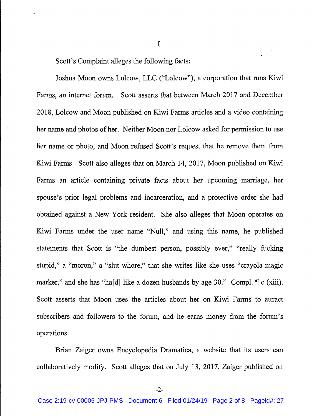Scott's Complaint alleges the following facts:

Joshua Moon owns Lolcow, LLC ("Lolcow"), a corporation that runs Kiwi Farms, an internet forum. Scott asserts that between March 2017 and December 2018, Lolcow and Moon published on Kiwi Farms articles and a video containing her name and photos of her. Neither Moon nor Lolcow asked for permission to use her name or photo, and Moon refused Scott's request that he remove them from Kiwi Farms. Scott also alleges that on March 14, 2017, Moon published on Kiwi Farms an article containing private facts about her upcoming marriage, her spouse's prior legal problems and incarceration, and a protective order she had obtained against a New York resident. She also alleges that Moon operates on Kiwi Farms under the user name "Null," and using this name, he published statements that Scott is "the dumbest person, possibly ever," "really fucking stupid," a "moron," a "slut whore," that she writes like she uses "crayola magic marker," and she has "ha[d] like a dozen husbands by age 30." Compl.  $\parallel c$  (xiii). Scott asserts that Moon uses the articles about her on Kiwi Farms to attract subscribers and followers to the forum, and he earns money from the forum's operations.

I.

Brian Zaiger owns Encyclopedia Dramatica, a website that its users can collaboratively modify. Scott alleges that on July 13, 2017, Zaiger published on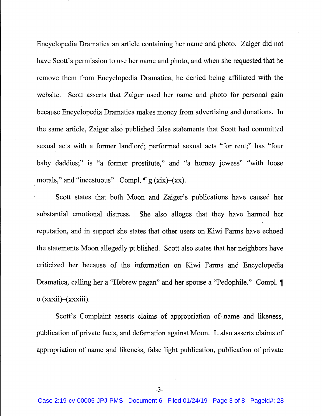Encyclopedia Dramatica an article containing her name and photo. Zaiger did not have Scott's permission to use her name and photo, and when she requested that he remove them from Encyclopedia Dramatica, he denied being affiliated with the website. Scott asserts that Zaiger used her name and photo for personal gain because Encyclopedia Dramatica makes money from advertising and donations. In the same article, Zaiger also published false statements that Scott had committed sexual acts with a former landlord; performed sexual acts "for rent;" has "four baby daddies;" is "a former prostitute," and "a homey jewess" "with loose morals," and "incestuous" Compl.  $\P g$  (xix)-(xx).

Scott states that both Moon and Zaiger's publications have caused her substantial emotional distress. She also alleges that they have harmed her reputation, and in support she states that other users on Kiwi Farms have echoed the statements Moon allegedly published. Scott also states that her neighbors have criticized her because of the information on Kiwi Farms and Encyclopedia Dramatica, calling her a "Hebrew pagan" and her spouse a "Pedophile." Compl. ¶ o (xxxii)-(xxxiii).

Scott's Complaint asserts claims of appropriation of name and likeness, publication of private facts, and defamation against Moon. It also asserts claims of appropriation of name and likeness, false light publication, publication of private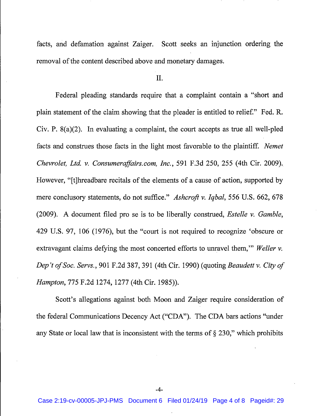facts, and defamation against Zaiger. Scott seeks an injunction ordering the removal of the content described above and monetary damages.

II.

Federal pleading standards require that a complaint contain a "short and plain statement of the claim showing that the pleader is entitled to relief." Fed. R. Civ. P. 8(a)(2). In evaluating a complaint, the court accepts as true all well-pled facts and construes those facts in the light most favorable to the plaintiff. *Nemet Chevrolet, Ltd. v. Consumeraffairs.com, Inc.,* 591 F.3d 250, 255 (4th Cir. 2009). However, "[t]hreadbare recitals of the elements of a cause of action, supported by mere conclusory statements, do not suffice." *Ashcroft v. Iqbal*, 556 U.S. 662, 678 (2009). A document filed pro se is to be liberally construed, *Estelle v. Gamble,*  429 U.S. 97, 106 (1976), but the "court is not required to recognize 'obscure or extravagant claims defying the most concerted efforts to unravel them," *Weller v. Dep't of Soc. Servs.,* 901 F.2d 387, 391 (4th Cir. 1990) (quoting *Beaudett v. City of Hampton,* 775 F.2d 1274, 1277 (4th Cir. 1985)).

Scott's allegations against both Moon and Zaiger require consideration of the federal Communications Decency Act ("CDA"). The CDA bars actions "under any State or local law that is inconsistent with the terms of  $\S 230$ ," which prohibits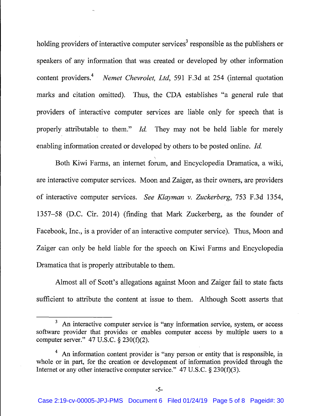holding providers of interactive computer services<sup>3</sup> responsible as the publishers or speakers of any information that was created or developed by other information content providers.<sup>4</sup> *Nemet Chevrolet, Ltd,* 591 F.3d at 254 (internal quotation marks and citation omitted). Thus, the CDA establishes "a general rule that providers of interactive computer services are liable only for speech that is properly attributable to them." *Id.* They may not be held liable for merely enabling information created or developed by others to be posted online. *Jd.* 

Both Kiwi Farms, an internet forum, and Encyclopedia Dramatica, a wiki, are interactive computer services. Moon and Zaiger, as their owners, are providers of interactive computer services. *See Klayman v. Zuckerberg,* 753 F.3d 1354, 1357–58 (D.C. Cir. 2014) (finding that Mark Zuckerberg, as the founder of Facebook, Inc., is a provider of an interactive computer service). Thus, Moon and Zaiger can only be held liable for the speech on Kiwi Farms and Encyclopedia Dramatica that is properly attributable to them.

Almost all of Scott's allegations against Moon and Zaiger fail to state facts sufficient to attribute the content at issue to them. Although Scott asserts that

 $3$  An interactive computer service is "any information service, system, or access software provider that provides or enables computer access by multiple users to a computer server."  $47 \text{ U.S.C.}$  §  $230 \text{ (f)} \text{ (2)}$ .

<sup>&</sup>lt;sup>4</sup> An information content provider is "any person or entity that is responsible, in whole or in part, for the creation or development of information provided through the Internet or any other interactive computer service." 47 U.S.C.  $\S$  230(f)(3).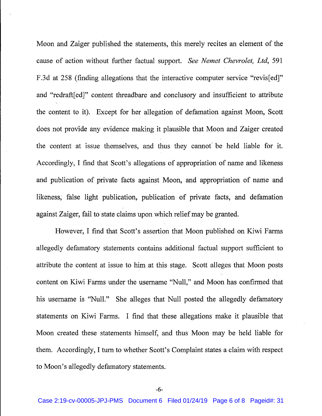Moon and Zaiger published the statements, this merely recites an element of the cause of action without further factual support. *See Nemet Chevrolet, Ltd,* 591 F.3d at 258 (finding allegations that the interactive computer service "revis[ed]" and "redraft[ed]" content threadbare and conclusory and insufficient to attribute the content to it). Except for her allegation of defamation against Moon, Scott does not provide any evidence making it plausible that Moon and Zaiger created the content at issue themselves, and thus they cannot' be held liable for it. Accordingly, I find that Scott's allegations of appropriation of name and likeness and publication of private facts against Moon, and appropriation of name and likeness; false light publication, publication of private facts, and defamation against Zaiger, fail to state claims upon which relief may be granted.

However, I find that Scott's assertion that Moon published on Kiwi Farms allegedly defamatory statements contains additional factual support sufficient to attribute the content at issue to him at this stage. Scott alleges that Moon posts content on Kiwi Farms under the usemame "Null," and Moon has confirmed that his usemame is "Null." She alleges that Null posted the allegedly defamatory statements on Kiwi Farms. I find that these allegations make it plausible that Moon created these statements himself, and thus Moon may be held liable for them. Accordingly, I tum to whether Scott's Complaint states a claim with respect to Moon's allegedly defamatory statements.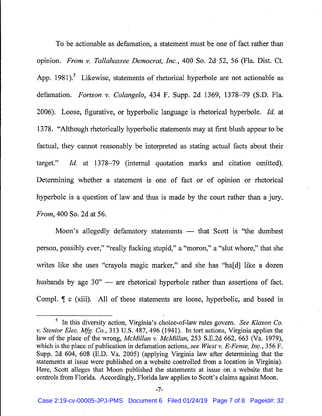To be actionable as defamation, a statement must be one of fact rather than opinion. *From v. Tallahassee Democrat, Inc.,* 400 So. 2d 52, 56 (Fla. Dist. Ct. App. 1981).<sup>5</sup> Likewise, statements of rhetorical hyperbole are not actionable as defamation. *Fortson v. Colangelo,* 434 F. Supp. 2d 1369, 1378-79 (S.D. Fla. 2006). Loose, figurative, or hyperbolic language is rhetorical hyperbole. *!d.* at 1378. "Although rhetorically hyperbolic statements may at first blush appear to be factual, they cannot reasonably be interpreted as stating actual facts about their target." *Id.* at 1378–79 (internal quotation marks and citation omitted). Determining whether a statement is one of fact or of opinion or rhetorical hyperbole is a question of law and thus is made by the court rather than a jury. *From,* 400 So. 2d at 56.

Moon's allegedly defamatory statements - that Scott is "the dumbest" person, possibly ever," "really fucking stupid," a "moron," a "slut whore," that she writes like she uses "crayola magic marker," and she has "ha[d] like a dozen husbands by age  $30"$  — are rhetorical hyperbole rather than assertions of fact. Compl.  $\parallel$  c (xiii). All of these statements are loose, hyperbolic, and based in

<sup>&</sup>lt;sup>5</sup> In this diversity action, Virginia's choice-of-law rules govern. *See Klaxon Co. v. Stentor Elec. Mfg. Co.,* 313 U.S. 487, 496 (1941). In tort actions, Virginia applies the law of the place of the wrong, *McMillan v. McMillan,* 253 S.E.2d 662, 663 (Va. 1979), which is the place of publication in defamation actions, *see Wiest v. E-Fense, Inc.,* 356 F. Supp. 2d 604, 608 (E.D. Va. 2005) (applying Virginia law after determining that the statements at issue were published on a website controlled from a location in Virginia). Here, Scott alleges that Moon published the statements at issue on a website that he controls from Florida. Accordingly, Florida law applies to Scott's claims against Moon.